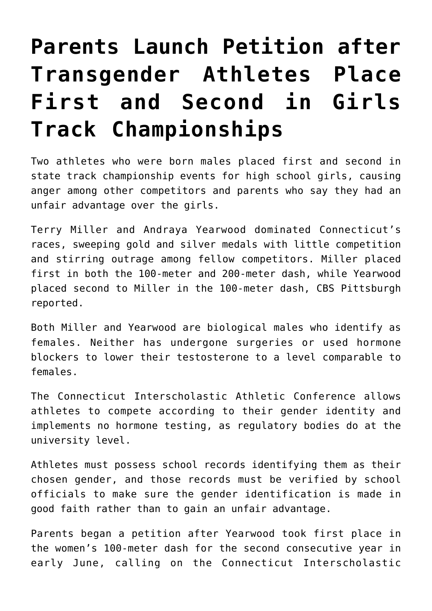## **[Parents Launch Petition after](https://intellectualtakeout.org/2018/06/parents-launch-petition-after-transgender-athletes-place-first-and-second-in-girls-track-championships/) [Transgender Athletes Place](https://intellectualtakeout.org/2018/06/parents-launch-petition-after-transgender-athletes-place-first-and-second-in-girls-track-championships/) [First and Second in Girls](https://intellectualtakeout.org/2018/06/parents-launch-petition-after-transgender-athletes-place-first-and-second-in-girls-track-championships/) [Track Championships](https://intellectualtakeout.org/2018/06/parents-launch-petition-after-transgender-athletes-place-first-and-second-in-girls-track-championships/)**

Two athletes who were born males placed first and second in state track championship events for high school girls, causing anger among other competitors and parents who say they had an unfair advantage over the girls.

Terry Miller and Andraya Yearwood dominated Connecticut's races, sweeping gold and silver medals with little competition and stirring outrage among fellow competitors. Miller placed first in both the 100-meter and 200-meter dash, while Yearwood placed second to Miller in the 100-meter dash, CBS Pittsburgh reported.

Both Miller and Yearwood are biological males who identify as females. Neither has undergone surgeries or used hormone blockers to lower their testosterone to a level comparable to females.

The Connecticut Interscholastic Athletic Conference allows athletes to compete according to their gender identity and implements no hormone testing, as regulatory bodies do at the university level.

Athletes must possess school records identifying them as their chosen gender, and those records must be verified by school officials to make sure the gender identification is made in good faith rather than to gain an unfair advantage.

Parents began a petition after Yearwood took first place in the women's 100-meter dash for the second consecutive year in early June, calling on the Connecticut Interscholastic